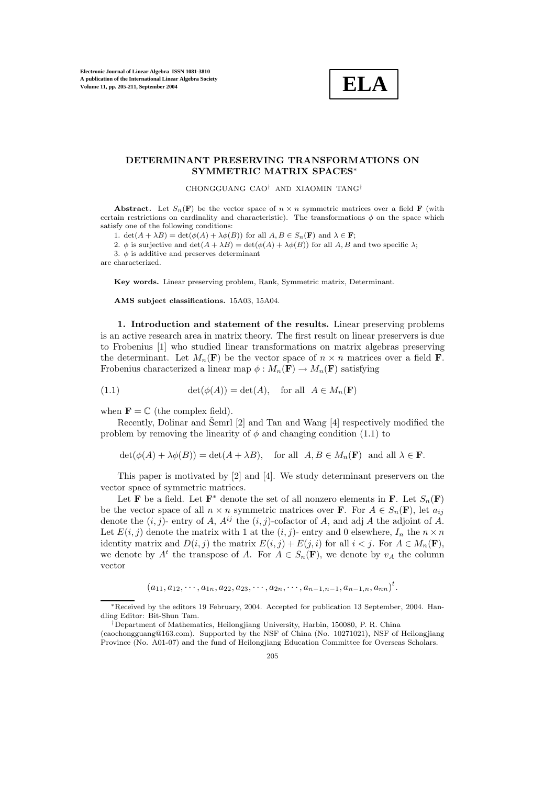**Electronic Journal of Linear Algebra ISSN 1081-3810 A publication of the International Linear Algebra Society Volume 11, pp. 205-211, September 2004**

## **ELA**

## **DETERMINANT PRESERVING TRANSFORMATIONS ON SYMMETRIC MATRIX SPACES**∗

CHONGGUANG CAO† AND XIAOMIN TANG†

**Abstract.** Let  $S_n(\mathbf{F})$  be the vector space of  $n \times n$  symmetric matrices over a field **F** (with certain restrictions on cardinality and characteristic). The transformations  $\phi$  on the space which satisfy one of the following conditions:

1.  $\det(A + \lambda B) = \det(\phi(A) + \lambda \phi(B))$  for all  $A, B \in S_n(\mathbf{F})$  and  $\lambda \in \mathbf{F}$ ;

2. φ is surjective and  $\det(A + \lambda B) = \det(\phi(A) + \lambda \phi(B))$  for all A, B and two specific  $\lambda$ ;

3.  $\phi$  is additive and preserves determinant

are characterized.

**Key words.** Linear preserving problem, Rank, Symmetric matrix, Determinant.

**AMS subject classifications.** 15A03, 15A04.

**1. Introduction and statement ofthe results.** Linear preserving problems is an active research area in matrix theory. The first result on linear preservers is due to Frobenius [1] who studied linear transformations on matrix algebras preserving the determinant. Let  $M_n(\mathbf{F})$  be the vector space of  $n \times n$  matrices over a field **F**. Frobenius characterized a linear map  $\phi : M_n(\mathbf{F}) \to M_n(\mathbf{F})$  satisfying

(1.1) 
$$
\det(\phi(A)) = \det(A), \text{ for all } A \in M_n(\mathbf{F})
$$

when  $\mathbf{F} = \mathbb{C}$  (the complex field).

Recently, Dolinar and Šemrl  $[2]$  and Tan and Wang  $[4]$  respectively modified the problem by removing the linearity of  $\phi$  and changing condition (1.1) to

 $\det(\phi(A) + \lambda \phi(B)) = \det(A + \lambda B)$ , for all  $A, B \in M_n(\mathbf{F})$  and all  $\lambda \in \mathbf{F}$ .

This paper is motivated by [2] and [4]. We study determinant preservers on the vector space of symmetric matrices.

Let **F** be a field. Let  $\mathbf{F}^*$  denote the set of all nonzero elements in **F**. Let  $S_n(\mathbf{F})$ be the vector space of all  $n \times n$  symmetric matrices over **F**. For  $A \in S_n(\mathbf{F})$ , let  $a_{ij}$ denote the  $(i, j)$ - entry of A,  $A^{ij}$  the  $(i, j)$ -cofactor of A, and adj A the adjoint of A. Let  $E(i, j)$  denote the matrix with 1 at the  $(i, j)$ - entry and 0 elsewhere,  $I_n$  the  $n \times n$ identity matrix and  $D(i, j)$  the matrix  $E(i, j) + E(j, i)$  for all  $i < j$ . For  $A \in M_n(\mathbf{F})$ , we denote by  $A^t$  the transpose of A. For  $A \in S_n(\mathbf{F})$ , we denote by  $v_A$  the column vector

$$
(a_{11}, a_{12}, \cdots, a_{1n}, a_{22}, a_{23}, \cdots, a_{2n}, \cdots, a_{n-1,n-1}, a_{n-1,n}, a_{nn})^t
$$
.

 $\ddot{\phantom{a}}$ 

<sup>\*</sup>Received by the editors 19 February, 2004. Accepted for publication 13 September, 2004. Handling Editor: Bit-Shun Tam.

<sup>†</sup>Department of Mathematics, Heilongjiang University, Harbin, 150080, P. R. China

 $(caochongguang@163.com)$ . Supported by the NSF of China (No. 10271021), NSF of Heilongjiang Province (No. A01-07) and the fund of Heilongjiang Education Committee for Overseas Scholars.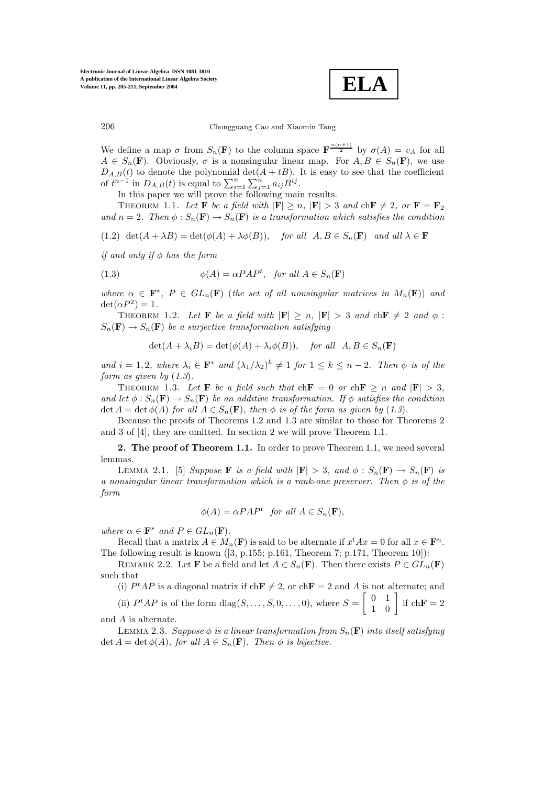**ELA**

206 Chongguang Cao and Xiaomin Tang

We define a map  $\sigma$  from  $S_n(\mathbf{F})$  to the column space  $\mathbf{F}^{\frac{n(n+1)}{2}}$  by  $\sigma(A) = v_A$  for all  $A \in S_n(\mathbf{F})$ . Obviously,  $\sigma$  is a nonsingular linear map. For  $A, B \in S_n(\mathbf{F})$ , we use  $D_{A,B}(t)$  to denote the polynomial det( $A + tB$ ). It is easy to see that the coefficient of  $t^{n-1}$  in  $D_{A,B}(t)$  is equal to  $\sum_{i=1}^{n} \sum_{j=1}^{n} a_{ij} B^{ij}$ .

In this paper we will prove the following main results.

THEOREM 1.1. Let **F** be a field with  $|\mathbf{F}| \ge n$ ,  $|\mathbf{F}| > 3$  and  $\text{ch} \mathbf{F} \ne 2$ , or  $\mathbf{F} = \mathbf{F}_2$ and  $n = 2$ . Then  $\phi : S_n(\mathbf{F}) \to S_n(\mathbf{F})$  is a transformation which satisfies the condition

(1.2)  $\det(A + \lambda B) = \det(\phi(A) + \lambda \phi(B)),$  *for all*  $A, B \in S_n(\mathbf{F})$  *and all*  $\lambda \in \mathbf{F}$ 

*if and only if* φ *has the form* 

(1.3) 
$$
\phi(A) = \alpha P A P^t, \text{ for all } A \in S_n(\mathbf{F})
$$

*where*  $\alpha \in \mathbf{F}^*$ ,  $P \in GL_n(\mathbf{F})$  (*the set of all nonsingular matrices in*  $M_n(\mathbf{F})$ ) and  $\det(\alpha P^2)=1$ .

THEOREM 1.2. Let **F** be a field with  $|\mathbf{F}| \ge n$ ,  $|\mathbf{F}| > 3$  and  $\text{ch} \mathbf{F} \ne 2$  and  $\phi$ :  $S_n(\mathbf{F}) \to S_n(\mathbf{F})$  be a surjective transformation satisfying

$$
\det(A + \lambda_i B) = \det(\phi(A) + \lambda_i \phi(B)), \quad \text{for all} \ \ A, B \in S_n(\mathbf{F})
$$

*and*  $i = 1, 2$ *, where*  $\lambda_i \in \mathbf{F}^*$  *and*  $(\lambda_1/\lambda_2)^k \neq 1$  *for*  $1 \leq k \leq n-2$ *. Then*  $\phi$  *is of the form as given by* (*1.3*)*.*

THEOREM 1.3. Let **F** be a field such that  $\text{ch} \mathbf{F} = 0$  or  $\text{ch} \mathbf{F} \ge n$  and  $|\mathbf{F}| > 3$ , *and let*  $\phi$ :  $S_n(\mathbf{F}) \to S_n(\mathbf{F})$  *be an additive transformation. If*  $\phi$  *satisfies the condition*  $\det A = \det \phi(A)$  *for all*  $A \in S_n(\mathbf{F})$ *, then*  $\phi$  *is of the form as given by* (1.3)*.* 

Because the proofs of Theorems 1.2 and 1.3 are similar to those for Theorems 2 and 3 of [4], they are omitted. In section 2 we will prove Theorem 1.1.

**2. The proof of Theorem 1.1.** In order to prove Theorem 1.1, we need several lemmas.

LEMMA 2.1. [5] *Suppose* **F** *is a field with*  $|\mathbf{F}| > 3$ *, and*  $\phi : S_n(\mathbf{F}) \to S_n(\mathbf{F})$  *is a nonsingular linear transformation which is a rank-one preserver. Then* φ *is of the form*

$$
\phi(A) = \alpha P A P^t \quad \text{for all } A \in S_n(\mathbf{F}),
$$

*where*  $\alpha \in \mathbf{F}^*$  *and*  $P \in GL_n(\mathbf{F})$ *.* 

Recall that a matrix  $A \in M_n(\mathbf{F})$  is said to be alternate if  $x^t A x = 0$  for all  $x \in \mathbf{F}^n$ . The following result is known ([3, p.155; p.161, Theorem 7; p.171, Theorem 10]):

REMARK 2.2. Let **F** be a field and let  $A \in S_n(\mathbf{F})$ . Then there exists  $P \in GL_n(\mathbf{F})$ such that

(i)  $P^tAP$  is a diagonal matrix if  $\text{ch}\mathbf{F} \neq 2$ , or  $\text{ch}\mathbf{F} = 2$  and A is not alternate; and

(ii)  $P^t A P$  is of the form diag(S, ..., S, 0, ..., 0), where  $S = \begin{bmatrix} 0 & 1 \\ 1 & 0 \end{bmatrix}$  if  $ch \mathbf{F} = 2$ and A is alternate.

LEMMA 2.3. *Suppose*  $\phi$  *is a linear transformation from*  $S_n(\mathbf{F})$  *into itself satisfying*  $\det A = \det \phi(A)$ *, for all*  $A \in S_n(\mathbf{F})$ *. Then*  $\phi$  *is bijective.*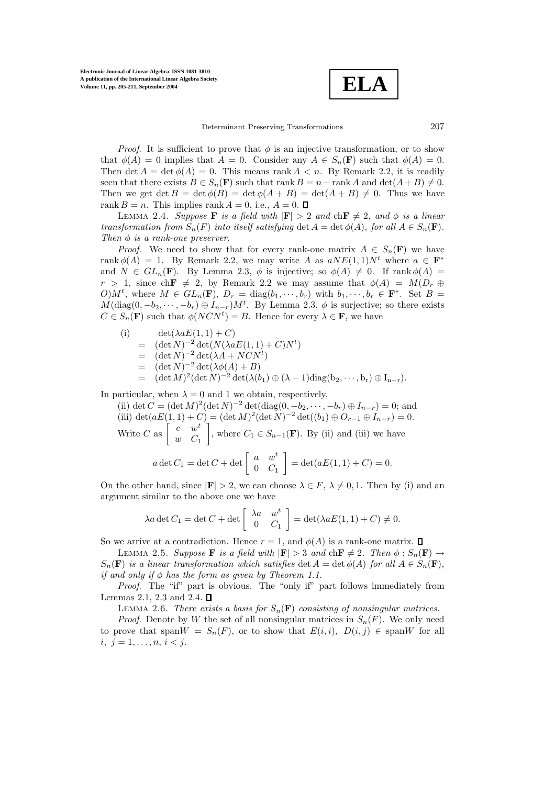

*Proof.* It is sufficient to prove that  $\phi$  is an injective transformation, or to show that  $\phi(A) = 0$  implies that  $A = 0$ . Consider any  $A \in S_n(\mathbf{F})$  such that  $\phi(A) = 0$ . Then det  $A = \det \phi(A) = 0$ . This means rank  $A < n$ . By Remark 2.2, it is readily seen that there exists  $B \in S_n(\mathbf{F})$  such that rank  $B = n - \text{rank }A$  and  $\det(A + B) \neq 0$ . Then we get det  $B = \det \phi(B) = \det \phi(A + B) = \det(A + B) \neq 0$ . Thus we have rank  $B = n$ . This implies rank  $A = 0$ , i.e.,  $A = 0$ .  $\Box$ 

LEMMA 2.4. *Suppose* **F** *is a field with*  $|\mathbf{F}| > 2$  *and*  $\text{ch} \mathbf{F} \neq 2$ *, and*  $\phi$  *is a linear transformation from*  $S_n(F)$  *into itself satisfying* det  $A = \det \phi(A)$ *, for all*  $A \in S_n(F)$ *. Then*  $\phi$  *is a rank-one preserver.* 

*Proof.* We need to show that for every rank-one matrix  $A \in S_n(\mathbf{F})$  we have rank  $\phi(A) = 1$ . By Remark 2.2, we may write A as  $aNE(1, 1)N^t$  where  $a \in \mathbf{F}^*$ and  $N \in GL_n(\mathbf{F})$ . By Lemma 2.3,  $\phi$  is injective; so  $\phi(A) \neq 0$ . If rank  $\phi(A) =$  $r > 1$ , since ch**F**  $\neq$  2, by Remark 2.2 we may assume that  $\phi(A) = M(D_r \oplus$ O) $M^t$ , where  $M \in GL_n(\mathbf{F})$ ,  $D_r = \text{diag}(b_1, \dots, b_r)$  with  $b_1, \dots, b_r \in \mathbf{F}^*$ . Set  $B =$  $M(\text{diag}(0, -b_2, \dots, -b_r) \oplus I_{n-r})M^t$ . By Lemma 2.3,  $\phi$  is surjective; so there exists  $C \in S_n(\mathbf{F})$  such that  $\phi(NCN^t) = B$ . Hence for every  $\lambda \in \mathbf{F}$ , we have

(i) 
$$
\det(\lambda aE(1,1)+C)
$$
  
\n
$$
= (\det N)^{-2} \det(N(\lambda aE(1,1)+C)N^{t})
$$
  
\n
$$
= (\det N)^{-2} \det(\lambda A + NCN^{t})
$$
  
\n
$$
= (\det N)^{-2} \det(\lambda \phi(A) + B)
$$
  
\n
$$
= (\det M)^{2} (\det N)^{-2} \det(\lambda (b_{1}) \oplus (\lambda - 1) \operatorname{diag}(b_{2}, \dots, b_{r}) \oplus I_{n-r}).
$$

In particular, when  $\lambda = 0$  and 1 we obtain, respectively,

(ii) det  $C = (\det M)^2 (\det N)^{-2} \det(\text{diag}(0, -b_2, \dots, -b_r) \oplus I_{n-r}) = 0$ ; and (iii) det(aE(1, 1) + C) = (det M)<sup>2</sup>(det N)<sup>-2</sup> det((b<sub>1</sub>) ⊕ O<sub>r-1</sub> ⊕ I<sub>n-r</sub>) = 0. Write C as  $\begin{bmatrix} c & w^t \\ w & C \end{bmatrix}$  $w$   $C_1$ , where  $C_1 \in S_{n-1}(\mathbf{F})$ . By (ii) and (iii) we have a det  $C_1 = \det C + \det \begin{bmatrix} a & w^t \\ 0 & C \end{bmatrix}$  $0 \quad C_1$  $= det(aE(1, 1) + C) = 0.$ 

On the other hand, since  $|\mathbf{F}| > 2$ , we can choose  $\lambda \in F$ ,  $\lambda \neq 0, 1$ . Then by (i) and an argument similar to the above one we have

$$
\lambda a \det C_1 = \det C + \det \begin{bmatrix} \lambda a & w^t \\ 0 & C_1 \end{bmatrix} = \det(\lambda a E(1, 1) + C) \neq 0.
$$

So we arrive at a contradiction. Hence  $r = 1$ , and  $\phi(A)$  is a rank-one matrix.  $\Box$ 

**LEMMA** 2.5. *Suppose* **F** *is a field with*  $|\mathbf{F}| > 3$  *and* ch $\mathbf{F} \neq 2$ *. Then*  $\phi : S_n(\mathbf{F}) \to$  $S_n(\mathbf{F})$  *is a linear transformation which satisfies* det  $A = \det \phi(A)$  *for all*  $A \in S_n(\mathbf{F})$ *, if and only if*  $\phi$  *has the form as given by Theorem 1.1.* 

*Proof.* The "if" part is obvious. The "only if" part follows immediately from Lemmas 2.1, 2.3 and 2.4.  $\Box$ 

LEMMA 2.6. *There exists a basis for*  $S_n(\mathbf{F})$  *consisting of nonsingular matrices.* 

*Proof.* Denote by W the set of all nonsingular matrices in  $S_n(F)$ . We only need to prove that span $W = S_n(F)$ , or to show that  $E(i, i)$ ,  $D(i, j) \in \text{span}W$  for all i,  $j = 1, \ldots, n, i < j$ .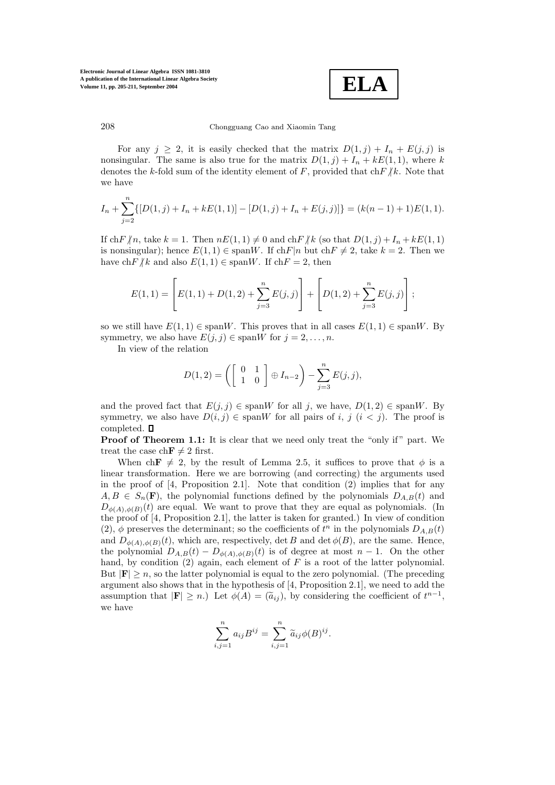**Electronic Journal of Linear Algebra ISSN 1081-3810 A publication of the International Linear Algebra Society Volume 11, pp. 205-211, September 2004**



208 Chongguang Cao and Xiaomin Tang

For any  $j \geq 2$ , it is easily checked that the matrix  $D(1, j) + I_n + E(j, j)$  is nonsingular. The same is also true for the matrix  $D(1, j) + I_n + kE(1, 1)$ , where k denotes the k-fold sum of the identity element of F, provided that  $\text{ch} F/k$ . Note that we have

$$
I_n + \sum_{j=2}^n \{ [D(1,j) + I_n + kE(1,1)] - [D(1,j) + I_n + E(j,j)] \} = (k(n-1) + 1)E(1,1).
$$

If  $\text{ch} F/n$ , take  $k = 1$ . Then  $nE(1, 1) \neq 0$  and  $\text{ch} F/k$  (so that  $D(1, j) + I_n + kE(1, 1)$ is nonsingular); hence  $E(1,1) \in \text{span} W$ . If  $\text{ch} F|n$  but  $\text{ch} F \neq 2$ , take  $k = 2$ . Then we have ch $F/k$  and also  $E(1, 1) \in \text{span} W$ . If ch $F = 2$ , then

$$
E(1,1) = \left[ E(1,1) + D(1,2) + \sum_{j=3}^{n} E(j,j) \right] + \left[ D(1,2) + \sum_{j=3}^{n} E(j,j) \right];
$$

so we still have  $E(1, 1) \in \text{span} W$ . This proves that in all cases  $E(1, 1) \in \text{span} W$ . By symmetry, we also have  $E(j, j) \in \text{span} W$  for  $j = 2, \ldots, n$ .

In view of the relation

$$
D(1,2) = \left( \left[ \begin{array}{cc} 0 & 1 \\ 1 & 0 \end{array} \right] \oplus I_{n-2} \right) - \sum_{j=3}^{n} E(j,j),
$$

and the proved fact that  $E(j, j) \in \text{span}W$  for all j, we have,  $D(1, 2) \in \text{span}W$ . By symmetry, we also have  $D(i, j) \in \text{span}W$  for all pairs of i, j  $(i < j)$ . The proof is completed.  $\square$ 

**Proof of Theorem 1.1:** It is clear that we need only treat the "only if" part. We treat the case ch $\mathbf{F} \neq 2$  first.

When ch**F**  $\neq$  2, by the result of Lemma 2.5, it suffices to prove that  $\phi$  is a linear transformation. Here we are borrowing (and correcting) the arguments used in the proof of  $[4,$  Proposition 2.1]. Note that condition  $(2)$  implies that for any  $A, B \in S_n(\mathbf{F})$ , the polynomial functions defined by the polynomials  $D_{A,B}(t)$  and  $D_{\phi(A),\phi(B)}(t)$  are equal. We want to prove that they are equal as polynomials. (In the proof of  $[4,$  Proposition 2.1], the latter is taken for granted.) In view of condition (2),  $\phi$  preserves the determinant; so the coefficients of  $t^n$  in the polynomials  $D_{A,B}(t)$ and  $D_{\phi(A),\phi(B)}(t)$ , which are, respectively, det B and det  $\phi(B)$ , are the same. Hence, the polynomial  $D_{A,B}(t) - D_{\phi(A),\phi(B)}(t)$  is of degree at most  $n-1$ . On the other hand, by condition  $(2)$  again, each element of F is a root of the latter polynomial. But  $|\mathbf{F}| \geq n$ , so the latter polynomial is equal to the zero polynomial. (The preceding argument also shows that in the hypothesis of [4, Proposition 2.1], we need to add the assumption that  $|\mathbf{F}| \ge n$ .) Let  $\phi(A) = (\tilde{a}_{ij})$ , by considering the coefficient of  $t^{n-1}$ , we have

$$
\sum_{i,j=1}^n a_{ij} B^{ij} = \sum_{i,j=1}^n \widetilde{a}_{ij} \phi(B)^{ij}.
$$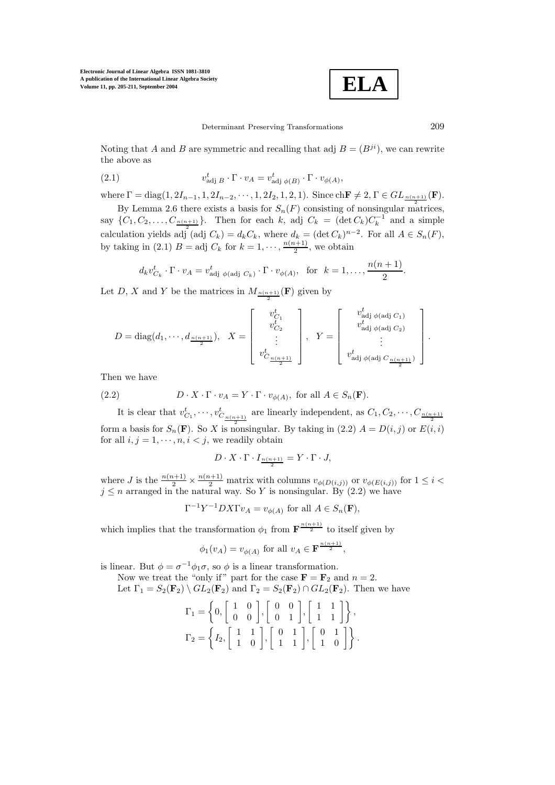**Electronic Journal of Linear Algebra ISSN 1081-3810 A publication of the International Linear Algebra Society Volume 11, pp. 205-211, September 2004**



Noting that A and B are symmetric and recalling that adj  $B = (B^{ji})$ , we can rewrite the above as

(2.1) 
$$
v_{\text{adj }B}^t \cdot \Gamma \cdot v_A = v_{\text{adj } \phi(B)}^t \cdot \Gamma \cdot v_{\phi(A)},
$$

where  $\Gamma = \text{diag}(1, 2I_{n-1}, 1, 2I_{n-2}, \cdots, 1, 2I_2, 1, 2, 1)$ . Since  $\text{ch} \mathbf{F} \neq 2, \Gamma \in GL_{\frac{n(n+1)}{2}}(\mathbf{F})$ .

By Lemma 2.6 there exists a basis for  $S_n(F)$  consisting of nonsingular matrices, say  $\{C_1, C_2, \ldots, C_{\frac{n(n+1)}{2}}\}$ . Then for each k, adj  $C_k = (\det C_k) C_k^{-1}$  and a simple calculation yields adj (adj  $C_k$ ) =  $d_k C_k$ , where  $d_k = (\det C_k)^{n-2}$ . For all  $A \in S_n(F)$ , by taking in (2.1)  $B = \text{adj } C_k$  for  $k = 1, \dots, \frac{n(n+1)}{2}$ , we obtain

$$
d_k v_{C_k}^t \cdot \Gamma \cdot v_A = v_{\text{adj } \phi(\text{adj } C_k)}^t \cdot \Gamma \cdot v_{\phi(A)}, \text{ for } k = 1, \dots, \frac{n(n+1)}{2}.
$$

Let D, X and Y be the matrices in  $M_{\frac{n(n+1)}{2}}(\mathbf{F})$  given by

$$
D = \text{diag}(d_1, \cdots, d_{\frac{n(n+1)}{2}}), \quad X = \begin{bmatrix} v_{C_1}^t \\ v_{C_2}^t \\ \vdots \\ v_{C_{\frac{n(n+1)}{2}}}^t \end{bmatrix}, \quad Y = \begin{bmatrix} v_{\text{adj}}^t \phi(\text{adj } C_1) \\ v_{\text{adj}}^t \phi(\text{adj } C_2) \\ \vdots \\ v_{\text{adj }}^t \phi(\text{adj } C_{\frac{n(n+1)}{2}}) \end{bmatrix}.
$$

Then we have

(2.2) 
$$
D \cdot X \cdot \Gamma \cdot v_A = Y \cdot \Gamma \cdot v_{\phi(A)}, \text{ for all } A \in S_n(\mathbf{F}).
$$

It is clear that  $v^t_{C_1}, \cdots, v^t_{C_{\frac{n(n+1)}{2}}}$ are linearly independent, as  $C_1, C_2, \cdots, C_{\frac{n(n+1)}{2}}$ form a basis for  $S_n(\mathbf{F})$ . So X is nonsingular. By taking in (2.2)  $A = D(i, j)$  or  $E(i, i)$ for all  $i, j = 1, \dots, n, i < j$ , we readily obtain

$$
D\cdot X\cdot \Gamma\cdot I_{\frac{n(n+1)}{2}}=Y\cdot \Gamma\cdot J,
$$

where J is the  $\frac{n(n+1)}{2} \times \frac{n(n+1)}{2}$  matrix with columns  $v_{\phi(D(i,j))}$  or  $v_{\phi(E(i,j))}$  for  $1 \leq i$  $j \leq n$  arranged in the natural way. So Y is nonsingular. By (2.2) we have

$$
\Gamma^{-1}Y^{-1}DX\Gamma v_A = v_{\phi(A)} \text{ for all } A \in S_n(\mathbf{F}),
$$

which implies that the transformation  $\phi_1$  from  $\mathbf{F}^{\frac{n(n+1)}{2}}$  to itself given by

$$
\phi_1(v_A) = v_{\phi(A)}
$$
 for all  $v_A \in \mathbf{F}^{\frac{n(n+1)}{2}}$ ,

is linear. But  $\phi = \sigma^{-1} \phi_1 \sigma$ , so  $\phi$  is a linear transformation.

Now we treat the "only if" part for the case  $\mathbf{F} = \mathbf{F}_2$  and  $n = 2$ .

Let 
$$
\Gamma_1 = S_2(\mathbf{F}_2) \setminus GL_2(\mathbf{F}_2)
$$
 and  $\Gamma_2 = S_2(\mathbf{F}_2) \cap GL_2(\mathbf{F}_2)$ . Then we have

$$
\Gamma_1 = \left\{ 0, \begin{bmatrix} 1 & 0 \\ 0 & 0 \end{bmatrix}, \begin{bmatrix} 0 & 0 \\ 0 & 1 \end{bmatrix}, \begin{bmatrix} 1 & 1 \\ 1 & 1 \end{bmatrix} \right\},
$$

$$
\Gamma_2 = \left\{ I_2, \begin{bmatrix} 1 & 1 \\ 1 & 0 \end{bmatrix}, \begin{bmatrix} 0 & 1 \\ 1 & 1 \end{bmatrix}, \begin{bmatrix} 0 & 1 \\ 1 & 0 \end{bmatrix} \right\}.
$$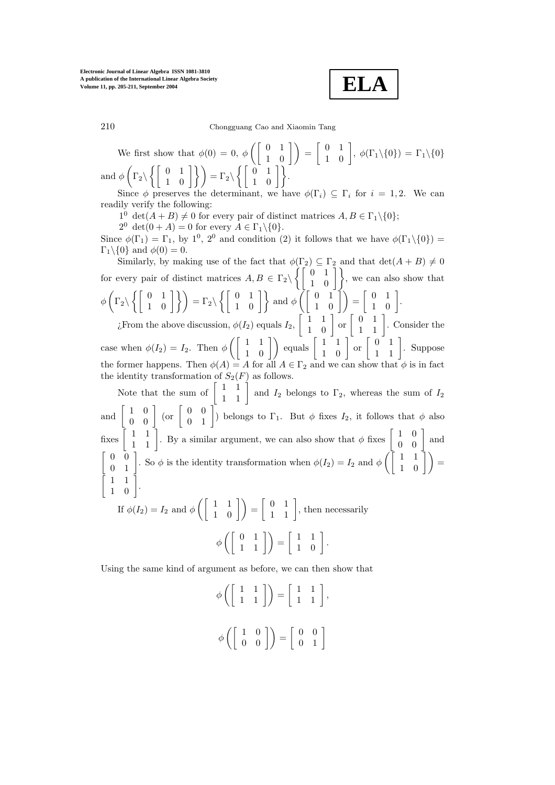$$
\mathbf{ELA}
$$

210 Chongguang Cao and Xiaomin Tang

We first show that  $\phi(0) = 0, \phi\left(\begin{bmatrix} 0 & 1 \\ 1 & 0 \end{bmatrix}\right) =$  $\begin{bmatrix} 0 & 1 \\ 1 & 0 \end{bmatrix}$ ,  $\phi(\Gamma_1 \setminus \{0\}) = \Gamma_1 \setminus \{0\}$ and  $\phi$   $\Big($  $\Gamma_2 \backslash$  $\left\{ \left[ \begin{array}{cc} 0 & 1 \\ 1 & 0 \end{array} \right] \right\}$  =  $\Gamma_2 \setminus$  $\left\{ \left\lceil \begin{array}{cc} 0 & 1 \\ 1 & 0 \end{array} \right\rceil \right\}.$ 

Since  $\phi$  preserves the determinant, we have  $\phi(\Gamma_i) \subseteq \Gamma_i$  for  $i = 1, 2$ . We can readily verify the following:

 $1^0 \det(A + B) \neq 0$  for every pair of distinct matrices  $A, B \in \Gamma_1 \backslash \{0\};$ 

 $2^0 \det(0+A) = 0$  for every  $A \in \Gamma_1 \backslash \{0\}.$ 

Since  $\phi(\Gamma_1)=\Gamma_1$ , by  $1^0$ ,  $2^0$  and condition (2) it follows that we have  $\phi(\Gamma_1\setminus\{0\})=$  $\Gamma_1 \backslash \{0\}$  and  $\phi(0) = 0$ .

Similarly, by making use of the fact that  $\phi(\Gamma_2) \subseteq \Gamma_2$  and that  $\det(A + B) \neq 0$ for every pair of distinct matrices  $A, B \in \Gamma_2 \setminus \left\{ \begin{bmatrix} 0 & 1 \\ 1 & 0 \end{bmatrix} \right\}$ , we can also show that  $\phi$  $\Gamma_2 \backslash$  $\left\{ \left[ \begin{array}{cc} 0 & 1 \\ 1 & 0 \end{array} \right] \right\}\right) = \Gamma_2 \backslash$  $\left\{ \left[ \begin{array}{cc} 0 & 1 \\ 1 & 0 \end{array} \right] \right\}$  and  $\phi \left( \left[ \begin{array}{cc} 0 & 1 \\ 1 & 0 \end{array} \right] \right) =$  $\left[\begin{array}{cc} 0 & 1 \\ 1 & 0 \end{array}\right].$ *i*. From the above discussion,  $\phi(I_2)$  equals  $I_2$ ,  $\begin{bmatrix} 1 & 1 \\ 1 & 0 \end{bmatrix}$  or  $\begin{bmatrix} 0 & 1 \\ 1 & 1 \end{bmatrix}$ . Consider the 

case when  $\phi(I_2) = I_2$ . Then  $\phi\left(\begin{bmatrix} 1 & 1 \\ 1 & 0 \end{bmatrix}\right)$  equals  $\begin{bmatrix} 1 & 1 \\ 1 & 0 \end{bmatrix}$  or  $\begin{bmatrix} 0 & 1 \\ 1 & 1 \end{bmatrix}$ . Suppose the former happens. Then  $\phi(A) = A$  for all  $A \in \Gamma_2$  and we can show that  $\phi$  is in fact the identity transformation of  $S_2(F)$  as follows.

Note that the sum of  $\begin{bmatrix} 1 & 1 \\ 1 & 1 \end{bmatrix}$  and  $I_2$  belongs to  $\Gamma_2$ , whereas the sum of  $I_2$ and  $\begin{bmatrix} 1 & 0 \\ 0 & 0 \end{bmatrix}$  (or  $\begin{bmatrix} 0 & 0 \\ 0 & 1 \end{bmatrix}$ ) belongs to  $\Gamma_1$ . But  $\phi$  fixes  $I_2$ , it follows that  $\phi$  also fixes  $\begin{bmatrix} 1 & 1 \\ 1 & 1 \end{bmatrix}$ . By a similar argument, we can also show that  $\phi$  fixes  $\begin{bmatrix} 1 & 0 \\ 0 & 0 \end{bmatrix}$  and  $\begin{bmatrix} 0 & 0 \\ 0 & 1 \end{bmatrix}$ . So  $\phi$  is the identity transformation when  $\phi(I_2) = I_2$  and  $\phi\left(\begin{bmatrix} 1 & 1 \\ 1 & 0 \end{bmatrix}\right) =$   $\begin{bmatrix} 1 & 1 \\ 1 & 0 \end{bmatrix}$ . If  $\phi(I_2) = I_2$  and  $\phi\left(\begin{bmatrix} 1 & 1 \\ 1 & 0 \end{bmatrix}\right) =$  $\left[\begin{array}{cc} 0 & 1 \\ 1 & 1 \end{array}\right]$ , then necessarily

 $\phi\left(\left[\begin{array}{cc} 0 & 1 \\ 1 & 1 \end{array}\right]\right) =$  $\left[\begin{array}{cc} 1 & 1 \\ 1 & 0 \end{array}\right].$ 

Using the same kind of argument as before, we can then show that

$$
\phi\left(\left[\begin{array}{cc} 1 & 1 \\ 1 & 1 \end{array}\right]\right) = \left[\begin{array}{cc} 1 & 1 \\ 1 & 1 \end{array}\right],
$$

$$
\phi\left(\left[\begin{array}{cc} 1 & 0 \\ 0 & 0 \end{array}\right]\right) = \left[\begin{array}{cc} 0 & 0 \\ 0 & 1 \end{array}\right]
$$